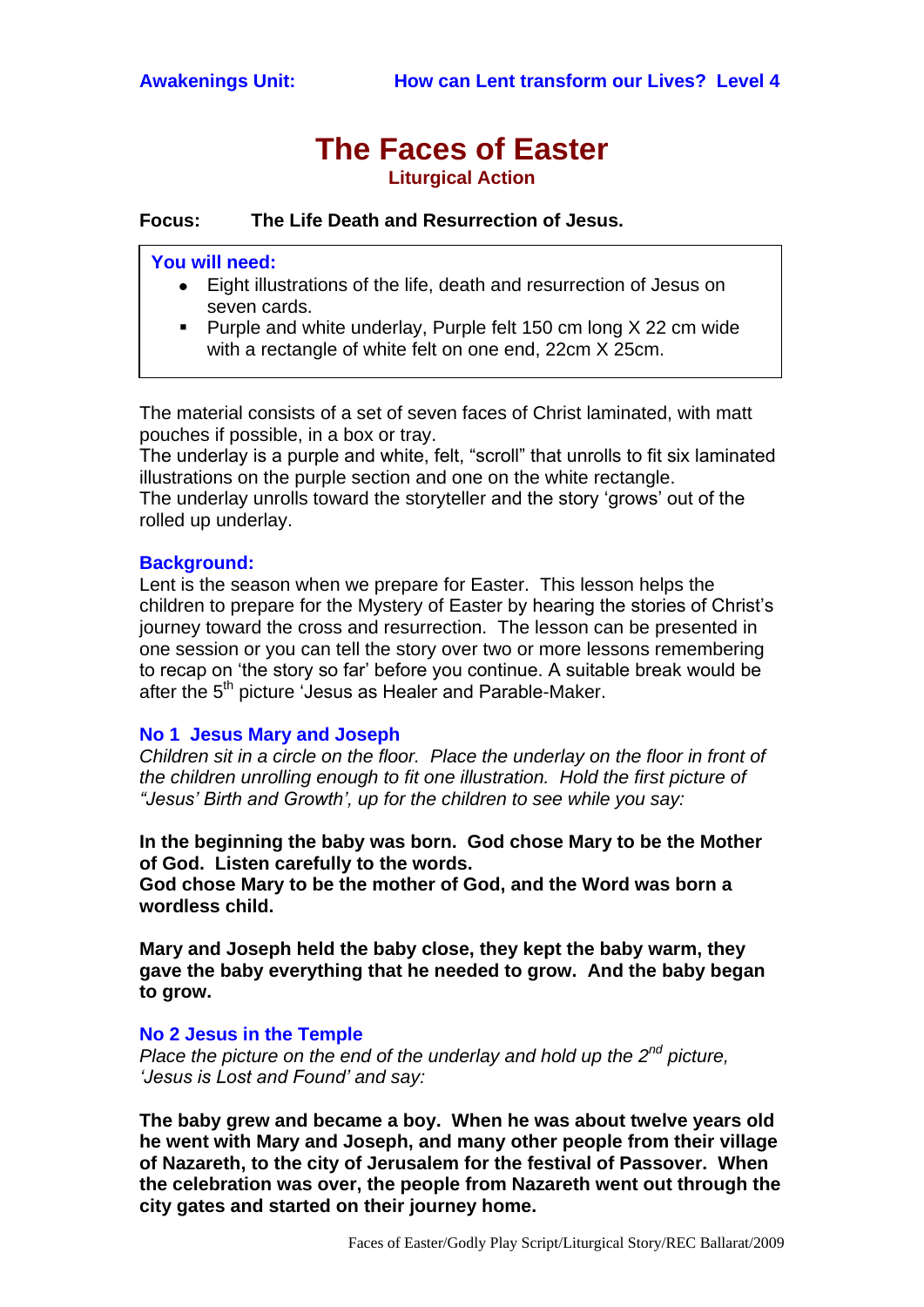# **The Faces of Easter Liturgical Action**

**Focus: The Life Death and Resurrection of Jesus.**

# **You will need:**

 $\overline{\phantom{a}}$ 

- Eight illustrations of the life, death and resurrection of Jesus on seven cards.
- **Purple and white underlay, Purple felt 150 cm long**  $X$  **22 cm wide** with a rectangle of white felt on one end, 22cm X 25cm.

The material consists of a set of seven faces of Christ laminated, with matt pouches if possible, in a box or tray.

The underlay is a purple and white, felt, "scroll" that unrolls to fit six laminated illustrations on the purple section and one on the white rectangle. The underlay unrolls toward the storyteller and the story "grows" out of the rolled up underlay.

# **Background:**

Lent is the season when we prepare for Easter. This lesson helps the children to prepare for the Mystery of Easter by hearing the stories of Christ"s journey toward the cross and resurrection. The lesson can be presented in one session or you can tell the story over two or more lessons remembering to recap on "the story so far" before you continue. A suitable break would be after the 5<sup>th</sup> picture 'Jesus as Healer and Parable-Maker.

# **No 1 Jesus Mary and Joseph**

*Children sit in a circle on the floor. Place the underlay on the floor in front of the children unrolling enough to fit one illustration. Hold the first picture of "Jesus' Birth and Growth', up for the children to see while you say:*

**In the beginning the baby was born. God chose Mary to be the Mother of God. Listen carefully to the words.**

**God chose Mary to be the mother of God, and the Word was born a wordless child.**

**Mary and Joseph held the baby close, they kept the baby warm, they gave the baby everything that he needed to grow. And the baby began to grow.**

# **No 2 Jesus in the Temple**

*Place the picture on the end of the underlay and hold up the 2<sup>nd</sup> picture, 'Jesus is Lost and Found' and say:*

**The baby grew and became a boy. When he was about twelve years old he went with Mary and Joseph, and many other people from their village of Nazareth, to the city of Jerusalem for the festival of Passover. When the celebration was over, the people from Nazareth went out through the city gates and started on their journey home.**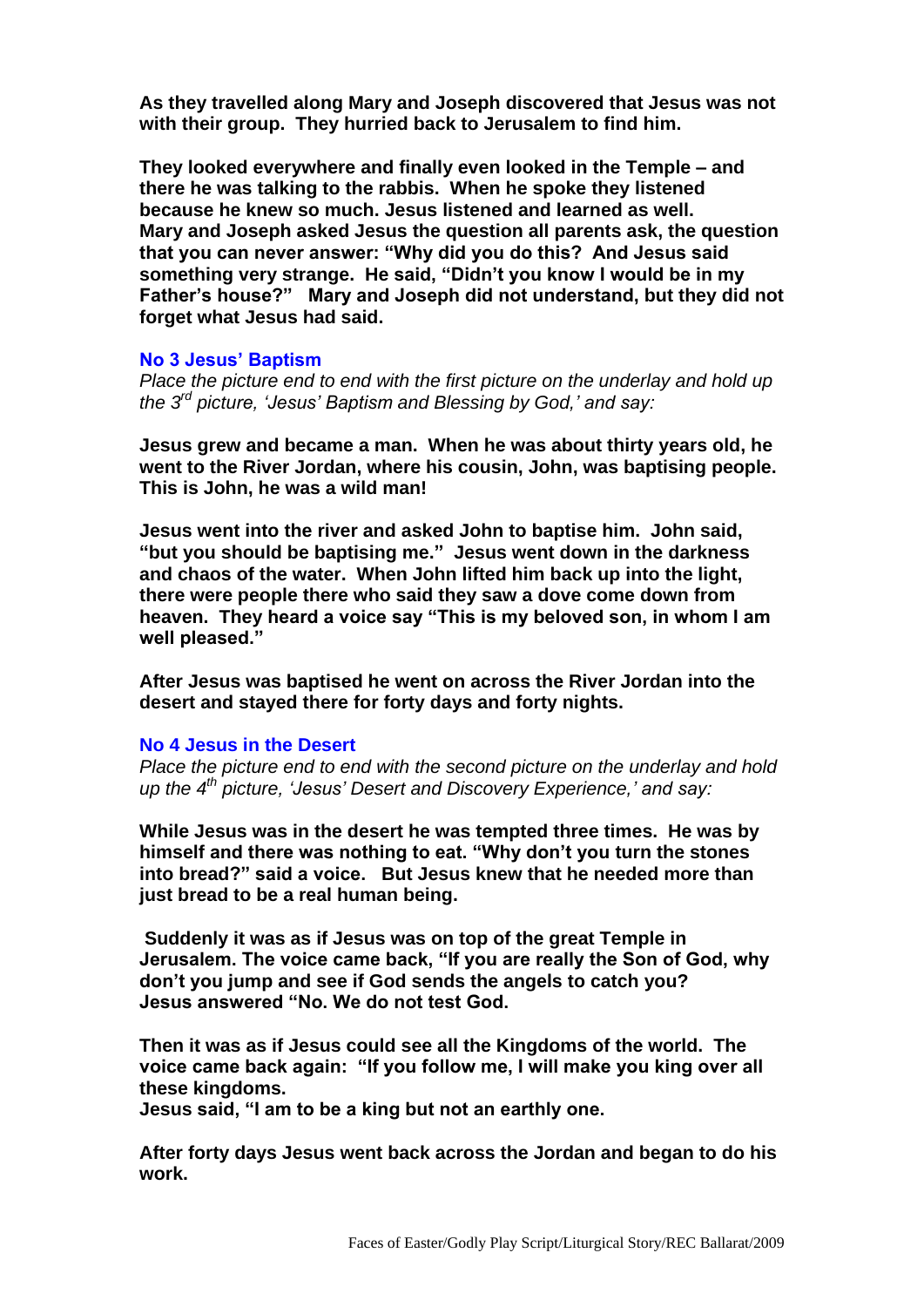**As they travelled along Mary and Joseph discovered that Jesus was not with their group. They hurried back to Jerusalem to find him.**

**They looked everywhere and finally even looked in the Temple – and there he was talking to the rabbis. When he spoke they listened because he knew so much. Jesus listened and learned as well. Mary and Joseph asked Jesus the question all parents ask, the question that you can never answer: "Why did you do this? And Jesus said something very strange. He said, "Didn't you know I would be in my Father's house?" Mary and Joseph did not understand, but they did not forget what Jesus had said.**

## **No 3 Jesus' Baptism**

*Place the picture end to end with the first picture on the underlay and hold up the 3 rd picture, 'Jesus' Baptism and Blessing by God,' and say:*

**Jesus grew and became a man. When he was about thirty years old, he went to the River Jordan, where his cousin, John, was baptising people. This is John, he was a wild man!**

**Jesus went into the river and asked John to baptise him. John said, "but you should be baptising me." Jesus went down in the darkness and chaos of the water. When John lifted him back up into the light, there were people there who said they saw a dove come down from heaven. They heard a voice say "This is my beloved son, in whom I am well pleased."**

**After Jesus was baptised he went on across the River Jordan into the desert and stayed there for forty days and forty nights.**

#### **No 4 Jesus in the Desert**

*Place the picture end to end with the second picture on the underlay and hold up the 4 th picture, 'Jesus' Desert and Discovery Experience,' and say:*

**While Jesus was in the desert he was tempted three times. He was by himself and there was nothing to eat. "Why don't you turn the stones into bread?" said a voice. But Jesus knew that he needed more than just bread to be a real human being.**

**Suddenly it was as if Jesus was on top of the great Temple in Jerusalem. The voice came back, "If you are really the Son of God, why don't you jump and see if God sends the angels to catch you? Jesus answered "No. We do not test God.**

**Then it was as if Jesus could see all the Kingdoms of the world. The voice came back again: "If you follow me, I will make you king over all these kingdoms.** 

**Jesus said, "I am to be a king but not an earthly one.**

**After forty days Jesus went back across the Jordan and began to do his work.**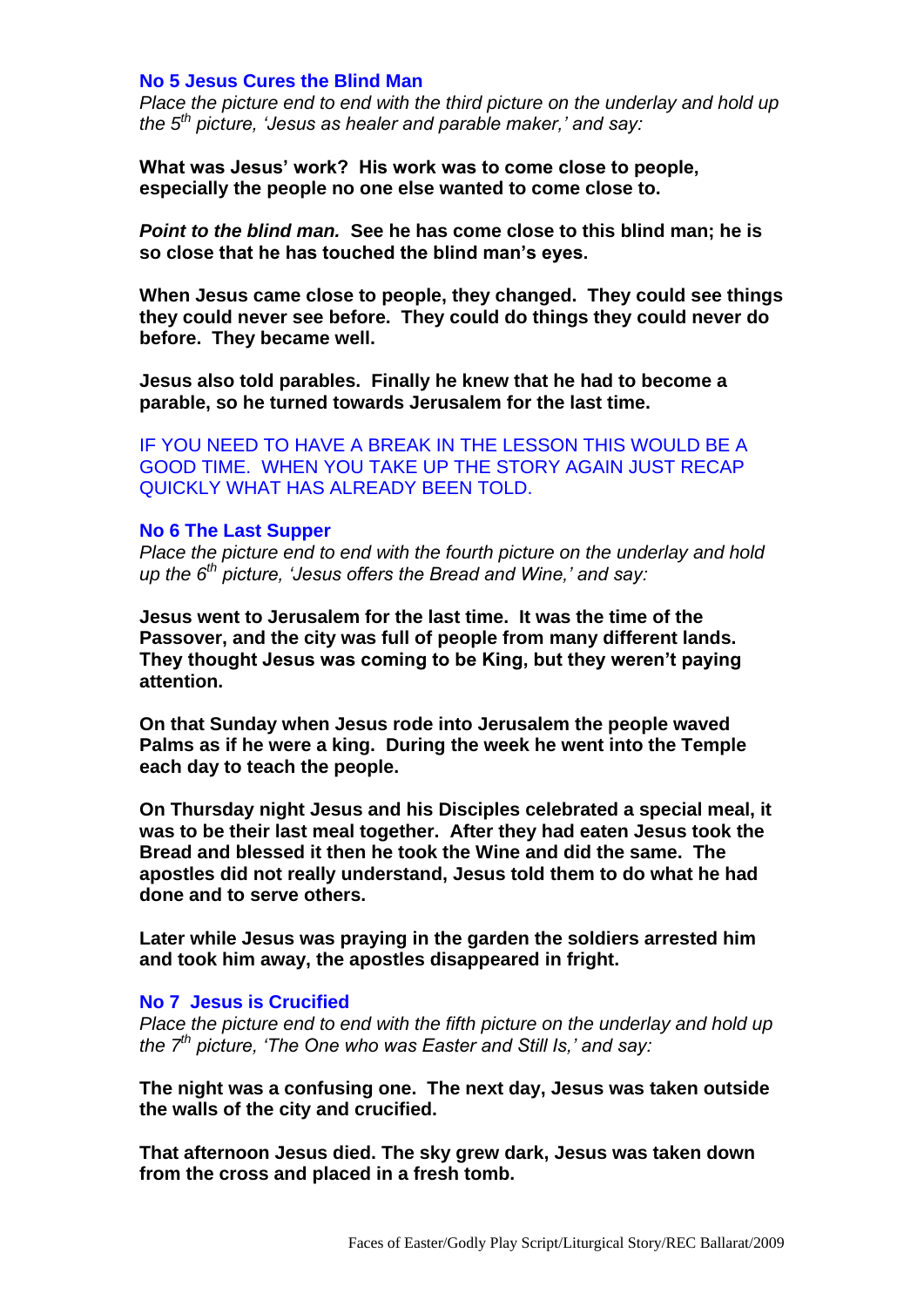# **No 5 Jesus Cures the Blind Man**

*Place the picture end to end with the third picture on the underlay and hold up the 5 th picture, 'Jesus as healer and parable maker,' and say:*

**What was Jesus' work? His work was to come close to people, especially the people no one else wanted to come close to.** 

*Point to the blind man.* **See he has come close to this blind man; he is so close that he has touched the blind man's eyes.**

**When Jesus came close to people, they changed. They could see things they could never see before. They could do things they could never do before. They became well.**

**Jesus also told parables. Finally he knew that he had to become a parable, so he turned towards Jerusalem for the last time.**

IF YOU NEED TO HAVE A BREAK IN THE LESSON THIS WOULD BE A GOOD TIME. WHEN YOU TAKE UP THE STORY AGAIN JUST RECAP QUICKLY WHAT HAS ALREADY BEEN TOLD.

#### **No 6 The Last Supper**

*Place the picture end to end with the fourth picture on the underlay and hold up the 6th picture, 'Jesus offers the Bread and Wine,' and say:*

**Jesus went to Jerusalem for the last time. It was the time of the Passover, and the city was full of people from many different lands. They thought Jesus was coming to be King, but they weren't paying attention.**

**On that Sunday when Jesus rode into Jerusalem the people waved Palms as if he were a king. During the week he went into the Temple each day to teach the people.**

**On Thursday night Jesus and his Disciples celebrated a special meal, it was to be their last meal together. After they had eaten Jesus took the Bread and blessed it then he took the Wine and did the same. The apostles did not really understand, Jesus told them to do what he had done and to serve others.**

**Later while Jesus was praying in the garden the soldiers arrested him and took him away, the apostles disappeared in fright.**

# **No 7 Jesus is Crucified**

*Place the picture end to end with the fifth picture on the underlay and hold up the 7th picture, 'The One who was Easter and Still Is,' and say:*

**The night was a confusing one. The next day, Jesus was taken outside the walls of the city and crucified.**

**That afternoon Jesus died. The sky grew dark, Jesus was taken down from the cross and placed in a fresh tomb.**